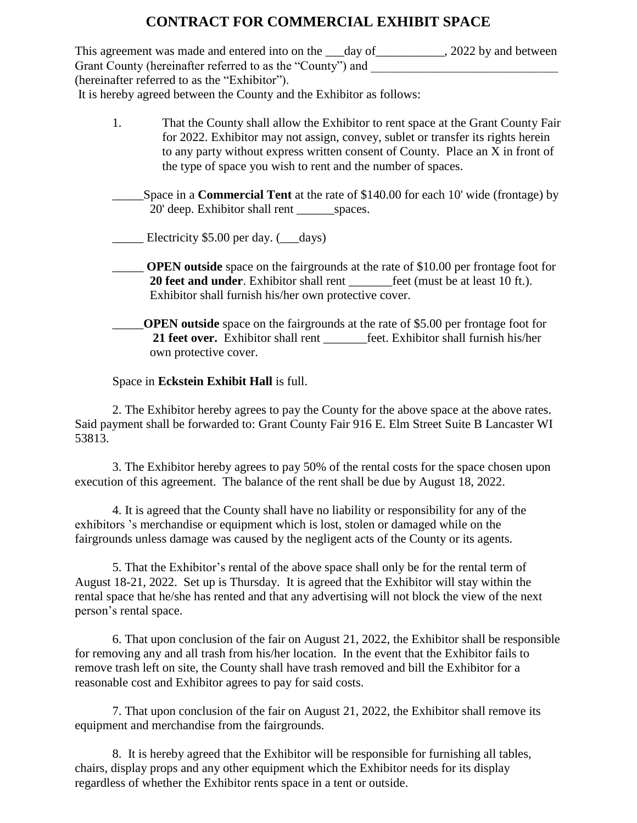## **CONTRACT FOR COMMERCIAL EXHIBIT SPACE**

This agreement was made and entered into on the \_\_\_day of \_\_\_\_\_\_\_\_\_, 2022 by and between Grant County (hereinafter referred to as the "County") and (hereinafter referred to as the "Exhibitor"). It is hereby agreed between the County and the Exhibitor as follows:

- 1. That the County shall allow the Exhibitor to rent space at the Grant County Fair for 2022. Exhibitor may not assign, convey, sublet or transfer its rights herein to any party without express written consent of County. Place an X in front of the type of space you wish to rent and the number of spaces.
- \_\_\_\_\_Space in a **Commercial Tent** at the rate of \$140.00 for each 10' wide (frontage) by 20' deep. Exhibitor shall rent spaces.

\_\_\_\_\_ Electricity \$5.00 per day. (\_\_\_days)

- \_\_\_\_\_ **OPEN outside** space on the fairgrounds at the rate of \$10.00 per frontage foot for **20 feet and under**. Exhibitor shall rent <u>feet</u> (must be at least 10 ft.). Exhibitor shall furnish his/her own protective cover.
- \_\_\_\_\_**OPEN outside** space on the fairgrounds at the rate of \$5.00 per frontage foot for **21 feet over.** Exhibitor shall rent feet. Exhibitor shall furnish his/her own protective cover.

## Space in **Eckstein Exhibit Hall** is full.

2. The Exhibitor hereby agrees to pay the County for the above space at the above rates. Said payment shall be forwarded to: Grant County Fair 916 E. Elm Street Suite B Lancaster WI 53813.

3. The Exhibitor hereby agrees to pay 50% of the rental costs for the space chosen upon execution of this agreement. The balance of the rent shall be due by August 18, 2022.

4. It is agreed that the County shall have no liability or responsibility for any of the exhibitors 's merchandise or equipment which is lost, stolen or damaged while on the fairgrounds unless damage was caused by the negligent acts of the County or its agents.

5. That the Exhibitor's rental of the above space shall only be for the rental term of August 18-21, 2022. Set up is Thursday. It is agreed that the Exhibitor will stay within the rental space that he/she has rented and that any advertising will not block the view of the next person's rental space.

6. That upon conclusion of the fair on August 21, 2022, the Exhibitor shall be responsible for removing any and all trash from his/her location. In the event that the Exhibitor fails to remove trash left on site, the County shall have trash removed and bill the Exhibitor for a reasonable cost and Exhibitor agrees to pay for said costs.

7. That upon conclusion of the fair on August 21, 2022, the Exhibitor shall remove its equipment and merchandise from the fairgrounds.

8. It is hereby agreed that the Exhibitor will be responsible for furnishing all tables, chairs, display props and any other equipment which the Exhibitor needs for its display regardless of whether the Exhibitor rents space in a tent or outside.